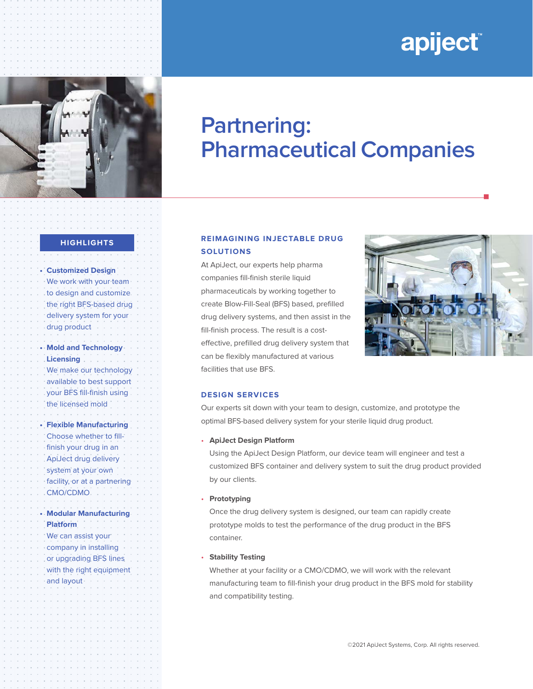# apiject®



# **Partnering: Pharmaceutical Companies**

#### **HIGHLIGHTS**

**• Customized Design**  We work with your team to design and customize the right BFS-based drug delivery system for your drug product **• Mold and Technology Licensing**  We make our technology available to best support your BFS fill-finish using the licensed mold **• Flexible Manufacturing** Choose whether to fillfinish your drug in an ApiJect drug delivery system at your own facility, or at a partnering CMO/CDMO **• Modular Manufacturing Platform** We can assist your company in installing or upgrading BFS lines with the right equipment and layout

## **REIMAGINING INJECTABLE DRUG SOLUTIONS**

At ApiJect, our experts help pharma companies fill-finish sterile liquid pharmaceuticals by working together to create Blow-Fill-Seal (BFS) based, prefilled drug delivery systems, and then assist in the fill-finish process. The result is a costeffective, prefilled drug delivery system that can be flexibly manufactured at various facilities that use BFS.



n

#### **DESIGN SERVICES**

Our experts sit down with your team to design, customize, and prototype the optimal BFS-based delivery system for your sterile liquid drug product.

#### • **ApiJect Design Platform**

Using the ApiJect Design Platform, our device team will engineer and test a customized BFS container and delivery system to suit the drug product provided by our clients.

#### • **Prototyping**

Once the drug delivery system is designed, our team can rapidly create prototype molds to test the performance of the drug product in the BFS container.

#### • **Stability Testing**

Whether at your facility or a CMO/CDMO, we will work with the relevant manufacturing team to fill-finish your drug product in the BFS mold for stability and compatibility testing.